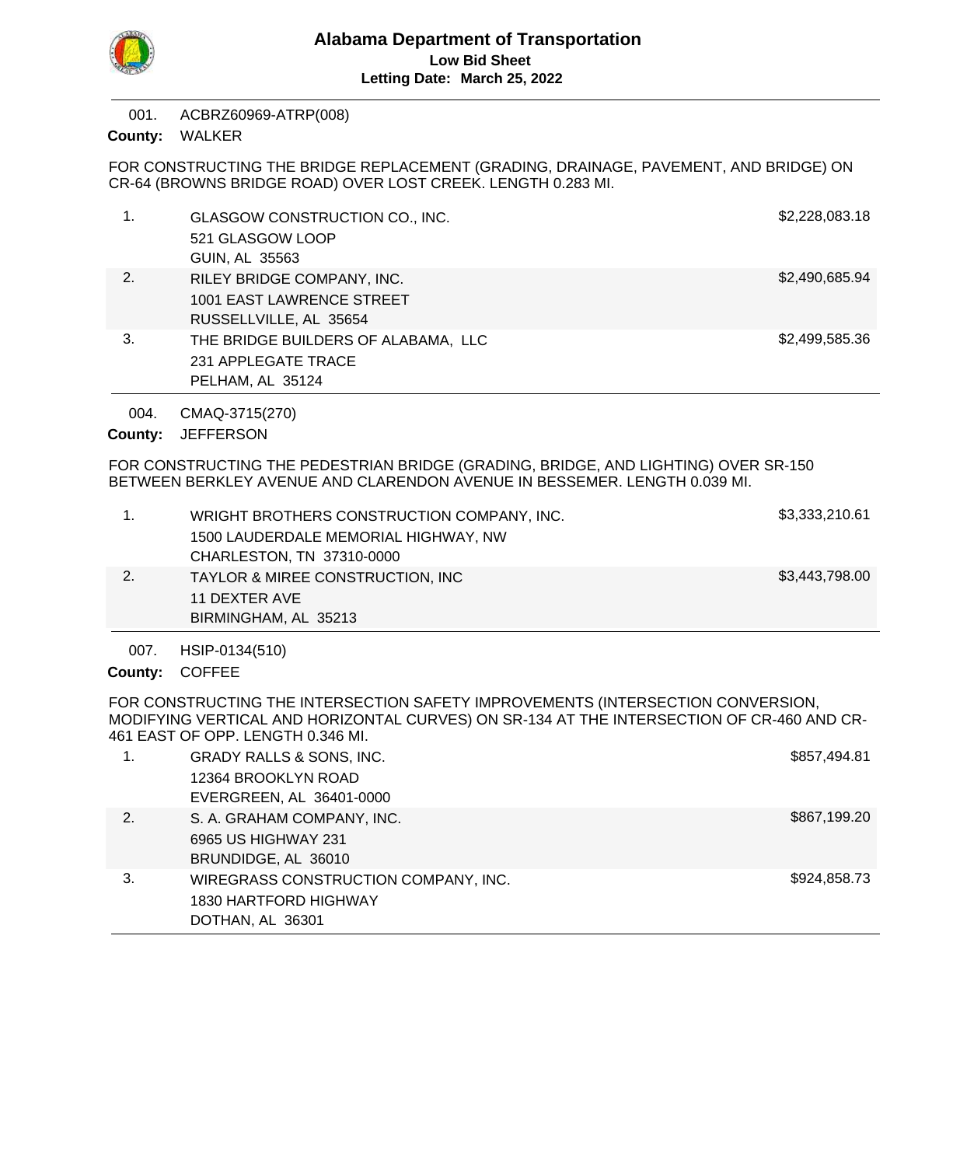

ACBRZ60969-ATRP(008) 001.

County: WALKER

FOR CONSTRUCTING THE BRIDGE REPLACEMENT (GRADING, DRAINAGE, PAVEMENT, AND BRIDGE) ON CR-64 (BROWNS BRIDGE ROAD) OVER LOST CREEK. LENGTH 0.283 MI.

| 1. | GLASGOW CONSTRUCTION CO., INC.      | \$2,228,083.18 |
|----|-------------------------------------|----------------|
|    | 521 GLASGOW LOOP                    |                |
|    | GUIN, AL 35563                      |                |
| 2. | RILEY BRIDGE COMPANY, INC.          | \$2,490,685.94 |
|    | 1001 EAST LAWRENCE STREET           |                |
|    | RUSSELLVILLE, AL 35654              |                |
| 3. | THE BRIDGE BUILDERS OF ALABAMA, LLC | \$2,499,585.36 |
|    | 231 APPLEGATE TRACE                 |                |
|    | PELHAM, AL 35124                    |                |

CMAQ-3715(270) 004.

County: JEFFERSON

FOR CONSTRUCTING THE PEDESTRIAN BRIDGE (GRADING, BRIDGE, AND LIGHTING) OVER SR-150 BETWEEN BERKLEY AVENUE AND CLARENDON AVENUE IN BESSEMER. LENGTH 0.039 MI.

| WRIGHT BROTHERS CONSTRUCTION COMPANY, INC.   | \$3,333,210.61 |
|----------------------------------------------|----------------|
| 1500 LAUDERDALE MEMORIAL HIGHWAY, NW         |                |
| CHARLESTON, TN 37310-0000                    |                |
| <b>TAYLOR &amp; MIREE CONSTRUCTION, INC.</b> | \$3,443,798.00 |
| 11 DEXTER AVE                                |                |
| BIRMINGHAM, AL 35213                         |                |

HSIP-0134(510) 007.

County: COFFEE

FOR CONSTRUCTING THE INTERSECTION SAFETY IMPROVEMENTS (INTERSECTION CONVERSION, MODIFYING VERTICAL AND HORIZONTAL CURVES) ON SR-134 AT THE INTERSECTION OF CR-460 AND CR-461 EAST OF OPP. LENGTH 0.346 MI.

|    | <b>GRADY RALLS &amp; SONS, INC.</b>  | \$857,494.81 |
|----|--------------------------------------|--------------|
|    | 12364 BROOKLYN ROAD                  |              |
|    | EVERGREEN, AL 36401-0000             |              |
| 2. | S. A. GRAHAM COMPANY, INC.           | \$867,199.20 |
|    | 6965 US HIGHWAY 231                  |              |
|    | BRUNDIDGE, AL 36010                  |              |
| 3. | WIREGRASS CONSTRUCTION COMPANY, INC. | \$924,858.73 |
|    | 1830 HARTFORD HIGHWAY                |              |
|    | DOTHAN, AL 36301                     |              |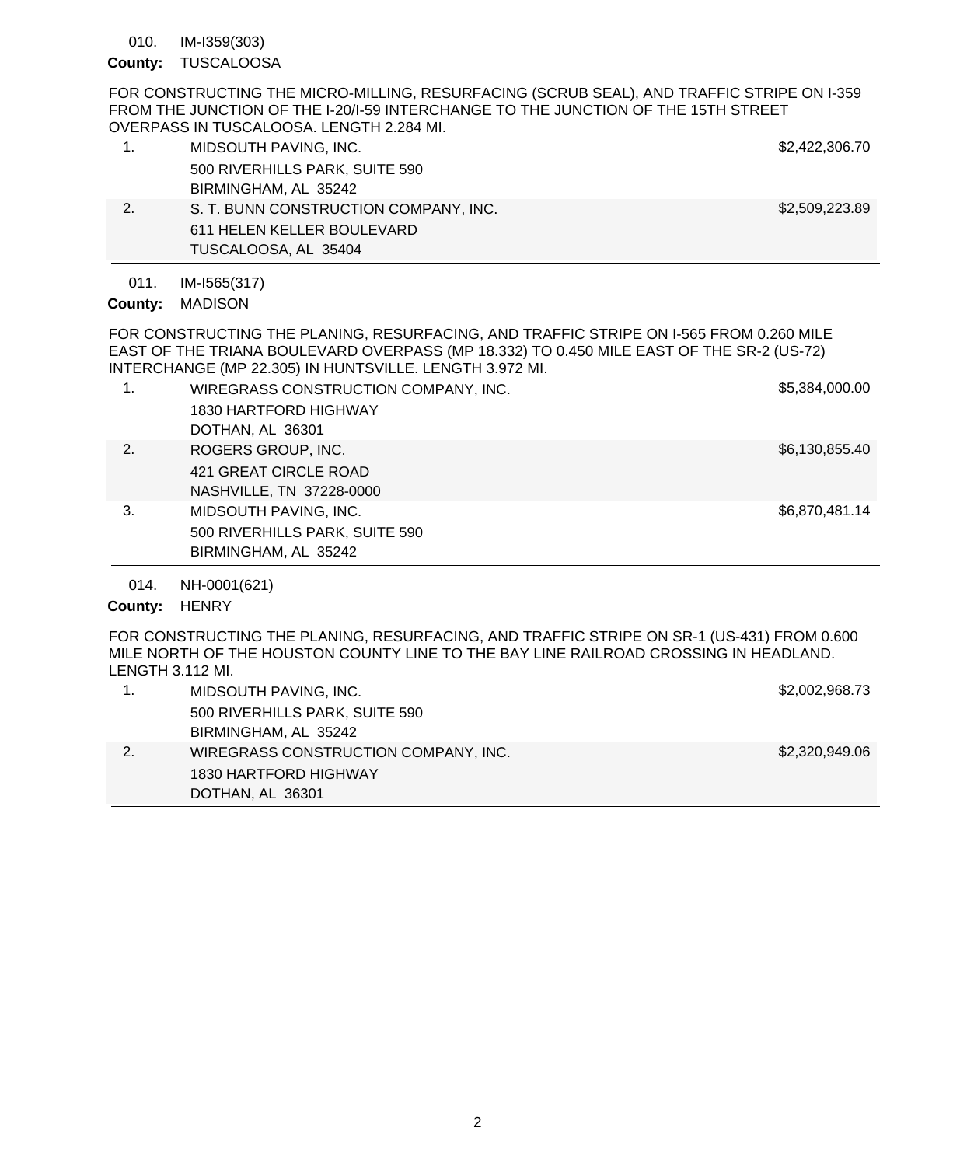IM-I359(303) 010.

### County: TUSCALOOSA

FOR CONSTRUCTING THE MICRO-MILLING, RESURFACING (SCRUB SEAL), AND TRAFFIC STRIPE ON I-359 FROM THE JUNCTION OF THE I-20/I-59 INTERCHANGE TO THE JUNCTION OF THE 15TH STREET OVERPASS IN TUSCALOOSA. LENGTH 2.284 MI.

|    | MIDSOUTH PAVING, INC.                 | \$2,422,306.70 |
|----|---------------------------------------|----------------|
|    | 500 RIVERHILLS PARK, SUITE 590        |                |
|    | BIRMINGHAM, AL 35242                  |                |
| 2. | S. T. BUNN CONSTRUCTION COMPANY, INC. | \$2,509,223.89 |
|    | 611 HELEN KELLER BOULEVARD            |                |
|    | TUSCALOOSA, AL 35404                  |                |

#### IM-I565(317) 011.

## County: MADISON

FOR CONSTRUCTING THE PLANING, RESURFACING, AND TRAFFIC STRIPE ON I-565 FROM 0.260 MILE EAST OF THE TRIANA BOULEVARD OVERPASS (MP 18.332) TO 0.450 MILE EAST OF THE SR-2 (US-72) INTERCHANGE (MP 22.305) IN HUNTSVILLE. LENGTH 3.972 MI.

|    | WIREGRASS CONSTRUCTION COMPANY, INC. | \$5,384,000.00 |
|----|--------------------------------------|----------------|
|    | 1830 HARTFORD HIGHWAY                |                |
|    | DOTHAN, AL 36301                     |                |
| 2. | ROGERS GROUP, INC.                   | \$6,130,855.40 |
|    | 421 GREAT CIRCLE ROAD                |                |
|    | NASHVILLE, TN 37228-0000             |                |
| 3. | MIDSOUTH PAVING, INC.                | \$6,870,481.14 |
|    | 500 RIVERHILLS PARK, SUITE 590       |                |
|    | BIRMINGHAM, AL 35242                 |                |
|    |                                      |                |

NH-0001(621) 014.

## County: HENRY

FOR CONSTRUCTING THE PLANING, RESURFACING, AND TRAFFIC STRIPE ON SR-1 (US-431) FROM 0.600 MILE NORTH OF THE HOUSTON COUNTY LINE TO THE BAY LINE RAILROAD CROSSING IN HEADLAND. LENGTH 3.112 MI.

| MIDSOUTH PAVING, INC.                | \$2,002,968.73 |
|--------------------------------------|----------------|
| 500 RIVERHILLS PARK, SUITE 590       |                |
| BIRMINGHAM, AL 35242                 |                |
| WIREGRASS CONSTRUCTION COMPANY, INC. | \$2,320,949.06 |
| 1830 HARTFORD HIGHWAY                |                |
| DOTHAN, AL 36301                     |                |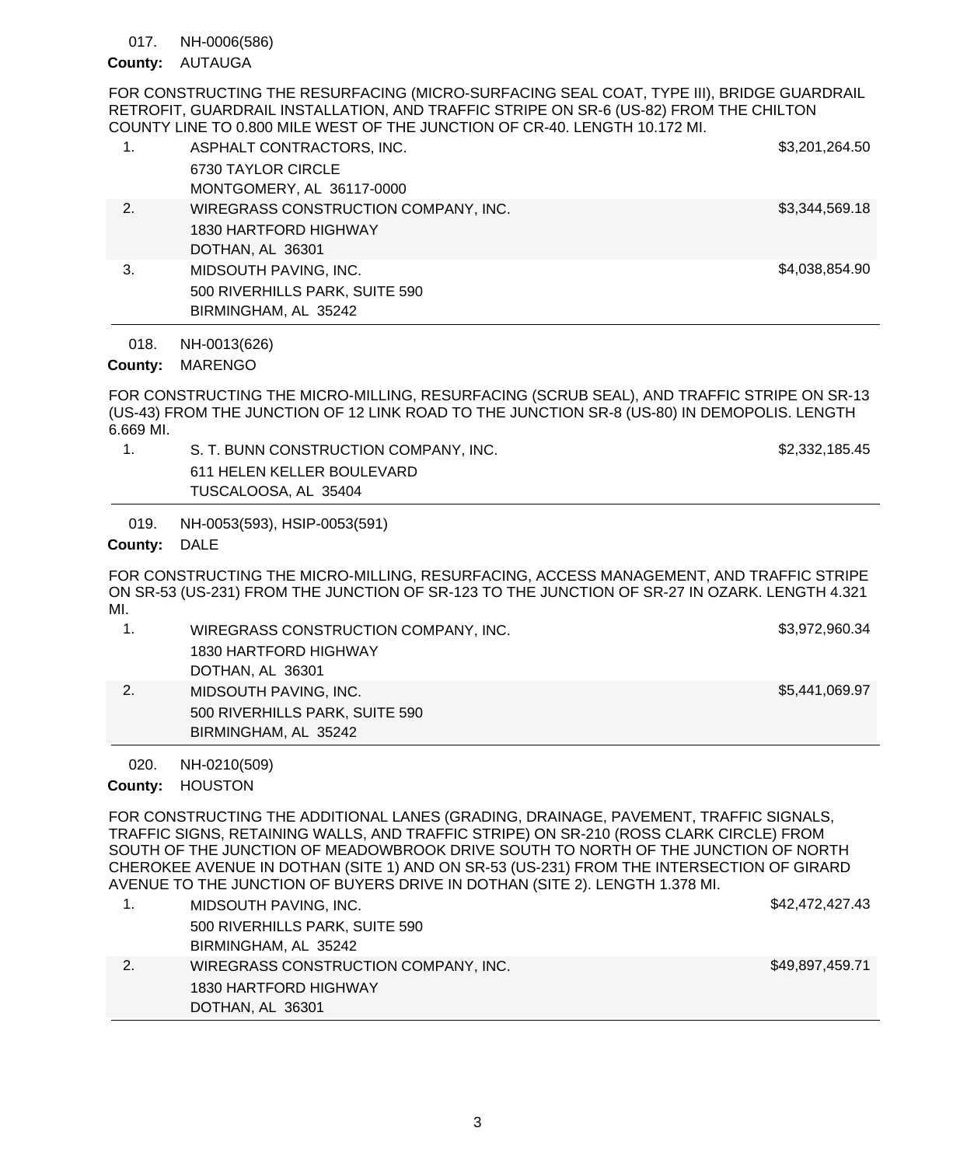NH-0006(586) 017.

# County: AUTAUGA

FOR CONSTRUCTING THE RESURFACING (MICRO-SURFACING SEAL COAT, TYPE III), BRIDGE GUARDRAIL RETROFIT, GUARDRAIL INSTALLATION, AND TRAFFIC STRIPE ON SR-6 (US-82) FROM THE CHILTON COUNTY LINE TO 0.800 MILE WEST OF THE JUNCTION OF CR-40. LENGTH 10.172 MI.

| 1. | ASPHALT CONTRACTORS, INC.<br>6730 TAYLOR CIRCLE<br>MONTGOMERY, AL 36117-0000      | \$3,201,264.50 |
|----|-----------------------------------------------------------------------------------|----------------|
| 2. | WIREGRASS CONSTRUCTION COMPANY, INC.<br>1830 HARTFORD HIGHWAY<br>DOTHAN, AL 36301 | \$3,344,569.18 |
| 3. | MIDSOUTH PAVING, INC.<br>500 RIVERHILLS PARK, SUITE 590<br>BIRMINGHAM, AL 35242   | \$4,038,854.90 |

NH-0013(626) 018.

# County: MARENGO

FOR CONSTRUCTING THE MICRO-MILLING, RESURFACING (SCRUB SEAL), AND TRAFFIC STRIPE ON SR-13 (US-43) FROM THE JUNCTION OF 12 LINK ROAD TO THE JUNCTION SR-8 (US-80) IN DEMOPOLIS. LENGTH 6.669 MI.

1. S. T. BUNN CONSTRUCTION COMPANY, INC. 62,332,185.45 611 HELEN KELLER BOULEVARD TUSCALOOSA, AL 35404

NH-0053(593), HSIP-0053(591) 019.

### County: DALE

FOR CONSTRUCTING THE MICRO-MILLING, RESURFACING, ACCESS MANAGEMENT, AND TRAFFIC STRIPE ON SR-53 (US-231) FROM THE JUNCTION OF SR-123 TO THE JUNCTION OF SR-27 IN OZARK. LENGTH 4.321 MI.

|    | WIREGRASS CONSTRUCTION COMPANY, INC. | \$3,972,960.34 |
|----|--------------------------------------|----------------|
|    | 1830 HARTFORD HIGHWAY                |                |
|    | DOTHAN, AL 36301                     |                |
| 2. | MIDSOUTH PAVING, INC.                | \$5,441,069.97 |
|    | 500 RIVERHILLS PARK, SUITE 590       |                |
|    | BIRMINGHAM, AL 35242                 |                |

NH-0210(509) 020.

## County: HOUSTON

FOR CONSTRUCTING THE ADDITIONAL LANES (GRADING, DRAINAGE, PAVEMENT, TRAFFIC SIGNALS, TRAFFIC SIGNS, RETAINING WALLS, AND TRAFFIC STRIPE) ON SR-210 (ROSS CLARK CIRCLE) FROM SOUTH OF THE JUNCTION OF MEADOWBROOK DRIVE SOUTH TO NORTH OF THE JUNCTION OF NORTH CHEROKEE AVENUE IN DOTHAN (SITE 1) AND ON SR-53 (US-231) FROM THE INTERSECTION OF GIRARD AVENUE TO THE JUNCTION OF BUYERS DRIVE IN DOTHAN (SITE 2). LENGTH 1.378 MI.

| MIDSOUTH PAVING, INC.                | \$42,472,427.43 |
|--------------------------------------|-----------------|
| 500 RIVERHILLS PARK, SUITE 590       |                 |
| BIRMINGHAM, AL 35242                 |                 |
| WIREGRASS CONSTRUCTION COMPANY, INC. | \$49,897,459.71 |
| 1830 HARTFORD HIGHWAY                |                 |
| DOTHAN, AL 36301                     |                 |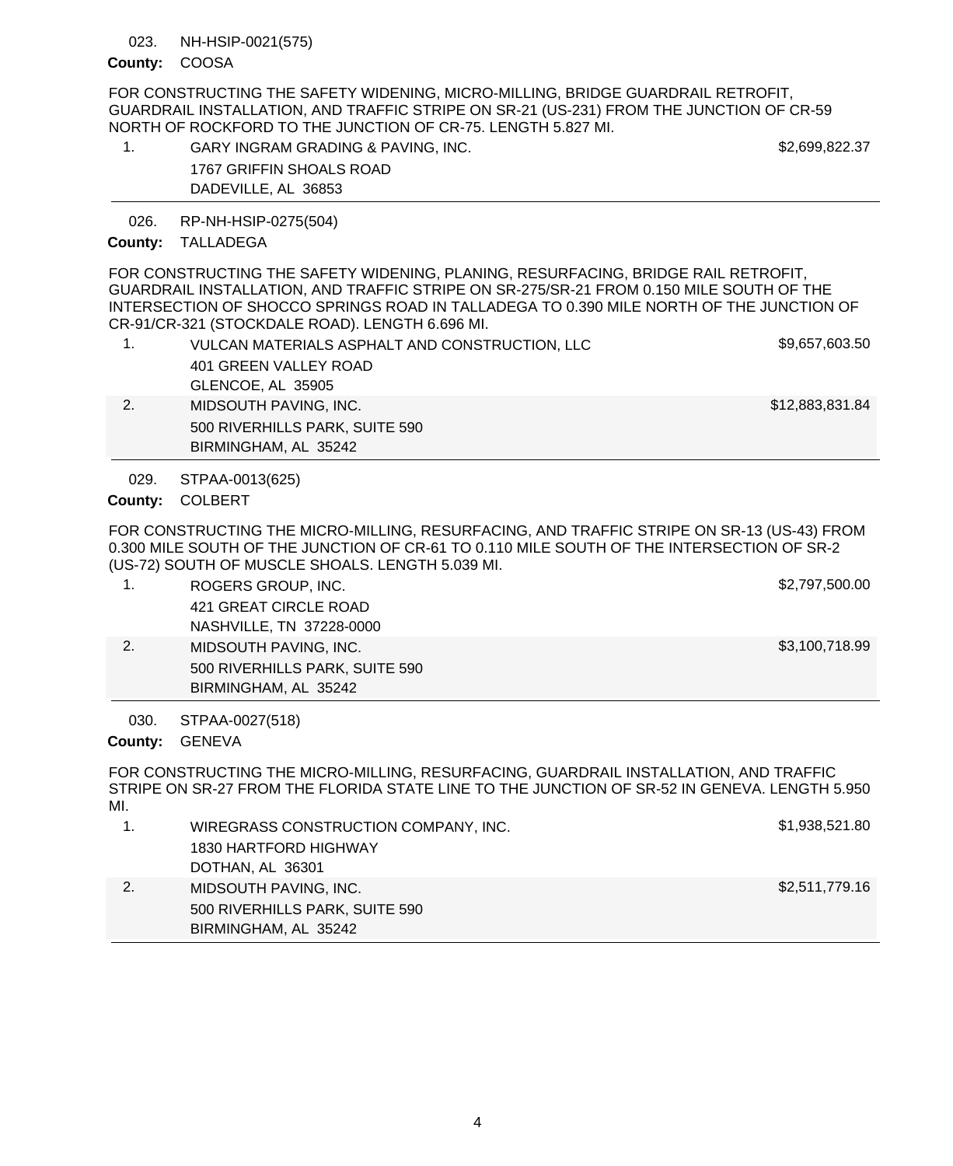#### NH-HSIP-0021(575) 023.

### County: COOSA

FOR CONSTRUCTING THE SAFETY WIDENING, MICRO-MILLING, BRIDGE GUARDRAIL RETROFIT, GUARDRAIL INSTALLATION, AND TRAFFIC STRIPE ON SR-21 (US-231) FROM THE JUNCTION OF CR-59 NORTH OF ROCKFORD TO THE JUNCTION OF CR-75. LENGTH 5.827 MI.

| GARY INGRAM GRADING & PAVING, INC. | \$2,699,822.37 |
|------------------------------------|----------------|
| 1767 GRIFFIN SHOALS ROAD           |                |
| DADEVILLE, AL 36853                |                |

RP-NH-HSIP-0275(504) 026.

### County: TALLADEGA

FOR CONSTRUCTING THE SAFETY WIDENING, PLANING, RESURFACING, BRIDGE RAIL RETROFIT, GUARDRAIL INSTALLATION, AND TRAFFIC STRIPE ON SR-275/SR-21 FROM 0.150 MILE SOUTH OF THE INTERSECTION OF SHOCCO SPRINGS ROAD IN TALLADEGA TO 0.390 MILE NORTH OF THE JUNCTION OF CR-91/CR-321 (STOCKDALE ROAD). LENGTH 6.696 MI.

|    | VULCAN MATERIALS ASPHALT AND CONSTRUCTION, LLC<br>401 GREEN VALLEY ROAD | \$9,657,603.50  |
|----|-------------------------------------------------------------------------|-----------------|
|    | GLENCOE, AL 35905                                                       |                 |
| 2. | MIDSOUTH PAVING, INC.                                                   | \$12,883,831.84 |
|    | 500 RIVERHILLS PARK, SUITE 590                                          |                 |
|    | BIRMINGHAM, AL 35242                                                    |                 |
|    |                                                                         |                 |

STPAA-0013(625) 029.

COLBERT **County:**

FOR CONSTRUCTING THE MICRO-MILLING, RESURFACING, AND TRAFFIC STRIPE ON SR-13 (US-43) FROM 0.300 MILE SOUTH OF THE JUNCTION OF CR-61 TO 0.110 MILE SOUTH OF THE INTERSECTION OF SR-2 (US-72) SOUTH OF MUSCLE SHOALS. LENGTH 5.039 MI.

|    | ROGERS GROUP, INC.             | \$2,797,500.00 |
|----|--------------------------------|----------------|
|    | 421 GREAT CIRCLE ROAD          |                |
|    | NASHVILLE, TN 37228-0000       |                |
| 2. | MIDSOUTH PAVING, INC.          | \$3,100,718.99 |
|    | 500 RIVERHILLS PARK, SUITE 590 |                |
|    | BIRMINGHAM, AL 35242           |                |

STPAA-0027(518) 030.

County: GENEVA

FOR CONSTRUCTING THE MICRO-MILLING, RESURFACING, GUARDRAIL INSTALLATION, AND TRAFFIC STRIPE ON SR-27 FROM THE FLORIDA STATE LINE TO THE JUNCTION OF SR-52 IN GENEVA. LENGTH 5.950 MI.

| WIREGRASS CONSTRUCTION COMPANY, INC. | \$1,938,521.80 |
|--------------------------------------|----------------|
| 1830 HARTFORD HIGHWAY                |                |
| DOTHAN, AL 36301                     |                |
| MIDSOUTH PAVING, INC.                | \$2,511,779.16 |
| 500 RIVERHILLS PARK, SUITE 590       |                |
| BIRMINGHAM, AL 35242                 |                |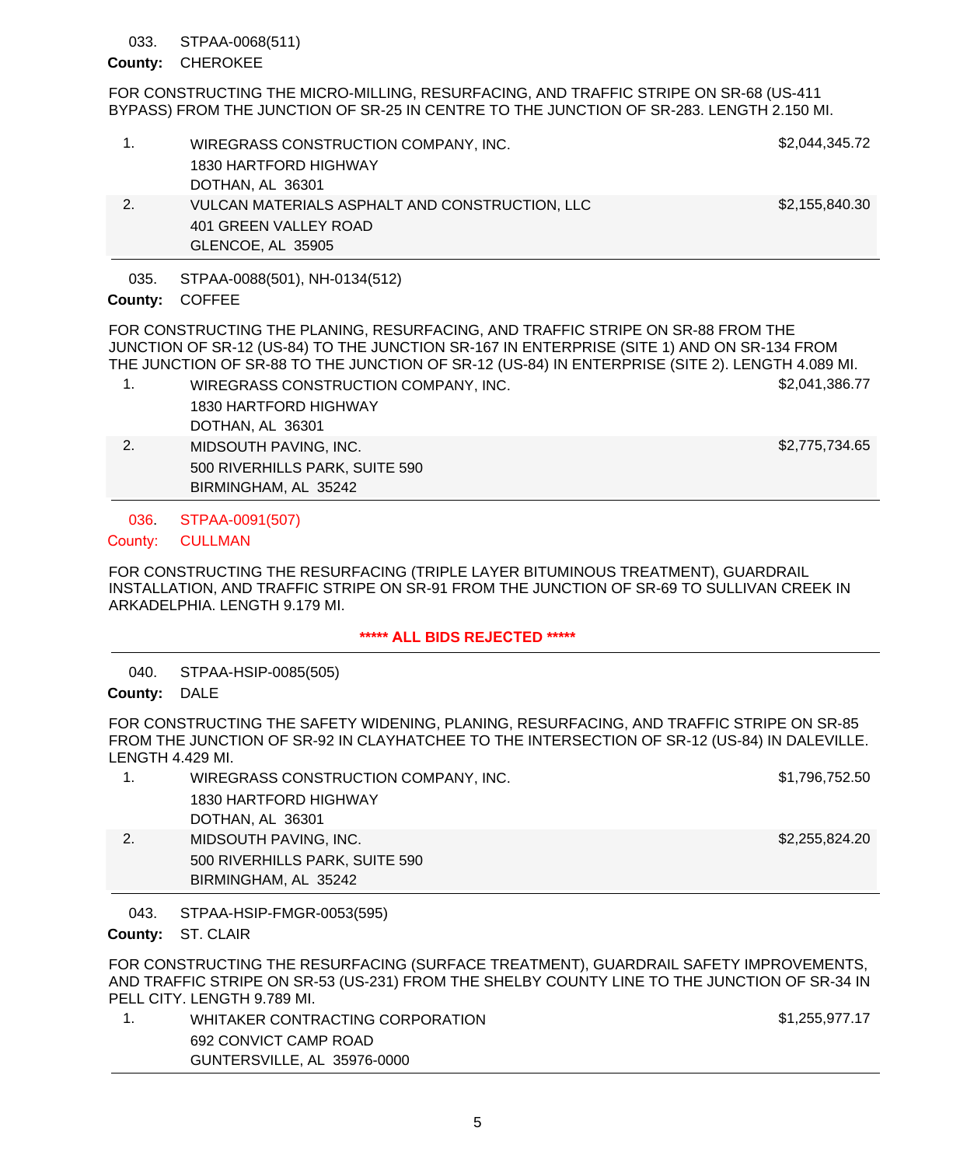#### STPAA-0068(511) 033.

### County: CHEROKEE

FOR CONSTRUCTING THE MICRO-MILLING, RESURFACING, AND TRAFFIC STRIPE ON SR-68 (US-411 BYPASS) FROM THE JUNCTION OF SR-25 IN CENTRE TO THE JUNCTION OF SR-283. LENGTH 2.150 MI.

|    | WIREGRASS CONSTRUCTION COMPANY, INC.           | \$2,044,345.72 |
|----|------------------------------------------------|----------------|
|    | 1830 HARTFORD HIGHWAY                          |                |
|    | DOTHAN, AL 36301                               |                |
| 2. | VULCAN MATERIALS ASPHALT AND CONSTRUCTION, LLC | \$2,155,840.30 |
|    | 401 GREEN VALLEY ROAD                          |                |
|    | GLENCOE, AL 35905                              |                |

STPAA-0088(501), NH-0134(512) 035.

## County: COFFEE

FOR CONSTRUCTING THE PLANING, RESURFACING, AND TRAFFIC STRIPE ON SR-88 FROM THE JUNCTION OF SR-12 (US-84) TO THE JUNCTION SR-167 IN ENTERPRISE (SITE 1) AND ON SR-134 FROM THE JUNCTION OF SR-88 TO THE JUNCTION OF SR-12 (US-84) IN ENTERPRISE (SITE 2). LENGTH 4.089 MI.

- 1. WIREGRASS CONSTRUCTION COMPANY, INC. \$2,041,386.77 1830 HARTFORD HIGHWAY
	- DOTHAN, AL 36301 2. MIDSOUTH PAVING, INC. **\$2,775,734.65** 500 RIVERHILLS PARK, SUITE 590 BIRMINGHAM, AL 35242

STPAA-0091(507) 036.

#### **CULLMAN** County:

FOR CONSTRUCTING THE RESURFACING (TRIPLE LAYER BITUMINOUS TREATMENT), GUARDRAIL INSTALLATION, AND TRAFFIC STRIPE ON SR-91 FROM THE JUNCTION OF SR-69 TO SULLIVAN CREEK IN ARKADELPHIA. LENGTH 9.179 MI.

## **\*\*\*\*\* ALL BIDS REJECTED \*\*\*\*\***

STPAA-HSIP-0085(505) 040.

County: DALE

FOR CONSTRUCTING THE SAFETY WIDENING, PLANING, RESURFACING, AND TRAFFIC STRIPE ON SR-85 FROM THE JUNCTION OF SR-92 IN CLAYHATCHEE TO THE INTERSECTION OF SR-12 (US-84) IN DALEVILLE. LENGTH 4.429 MI.

| WIREGRASS CONSTRUCTION COMPANY, INC. | \$1,796,752.50 |
|--------------------------------------|----------------|
| 1830 HARTFORD HIGHWAY                |                |
| DOTHAN, AL 36301                     |                |
| MIDSOUTH PAVING. INC.                | \$2,255,824.20 |
| 500 RIVERHILLS PARK, SUITE 590       |                |
| BIRMINGHAM, AL 35242                 |                |

STPAA-HSIP-FMGR-0053(595) 043.

County: ST. CLAIR

FOR CONSTRUCTING THE RESURFACING (SURFACE TREATMENT), GUARDRAIL SAFETY IMPROVEMENTS, AND TRAFFIC STRIPE ON SR-53 (US-231) FROM THE SHELBY COUNTY LINE TO THE JUNCTION OF SR-34 IN PELL CITY. LENGTH 9.789 MI.

1. WHITAKER CONTRACTING CORPORATION \$1,255,977.17 692 CONVICT CAMP ROAD GUNTERSVILLE, AL 35976-0000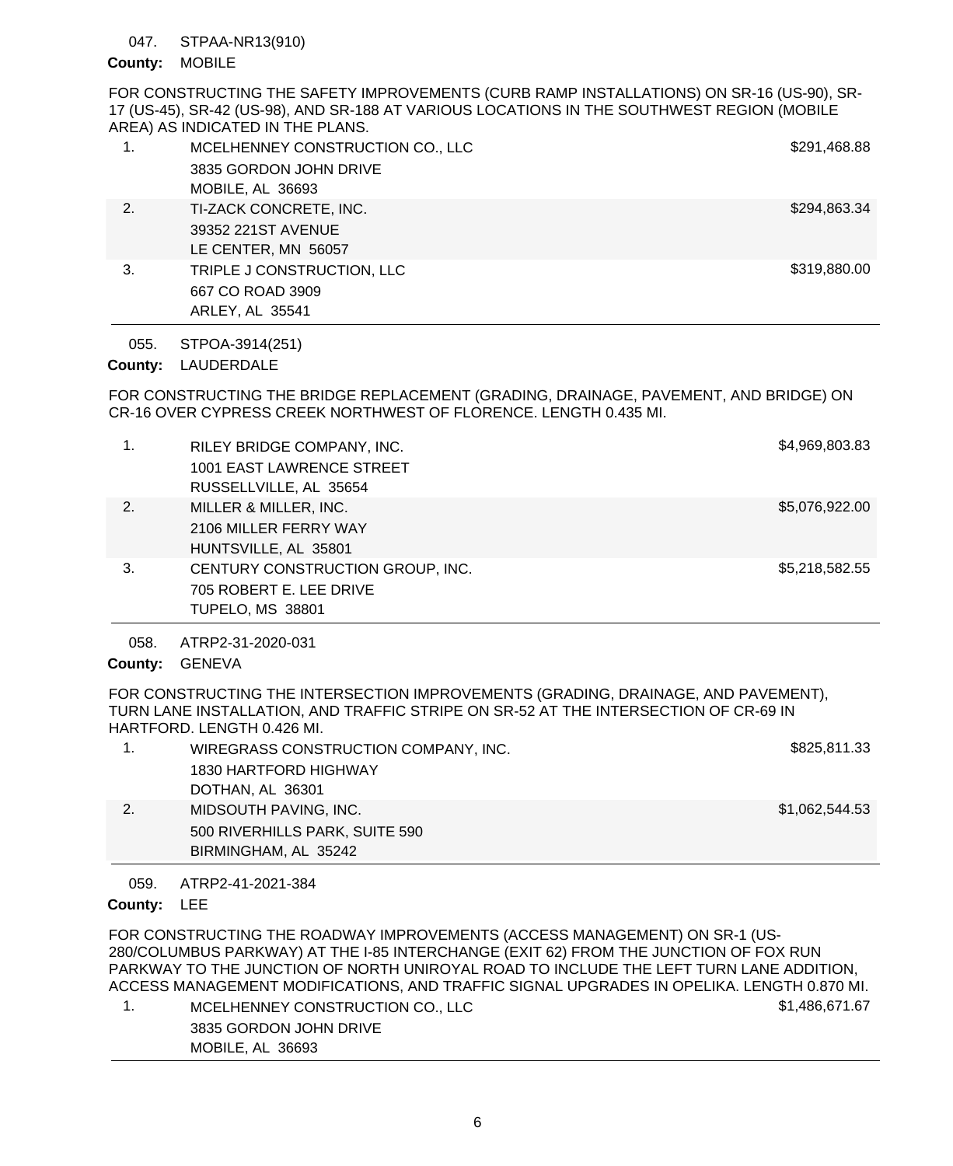#### STPAA-NR13(910) 047.

### County: MOBILE

FOR CONSTRUCTING THE SAFETY IMPROVEMENTS (CURB RAMP INSTALLATIONS) ON SR-16 (US-90), SR-17 (US-45), SR-42 (US-98), AND SR-188 AT VARIOUS LOCATIONS IN THE SOUTHWEST REGION (MOBILE AREA) AS INDICATED IN THE PLANS.

|    | MCELHENNEY CONSTRUCTION CO., LLC | \$291,468.88 |
|----|----------------------------------|--------------|
|    | 3835 GORDON JOHN DRIVE           |              |
|    | MOBILE, AL 36693                 |              |
| 2. | TI-ZACK CONCRETE, INC.           | \$294,863.34 |
|    | 39352 221ST AVENUE               |              |
|    | LE CENTER, MN 56057              |              |
| 3. | TRIPLE J CONSTRUCTION, LLC       | \$319,880.00 |
|    | 667 CO ROAD 3909                 |              |
|    | ARLEY, AL 35541                  |              |

STPOA-3914(251) 055.

# County: LAUDERDALE

FOR CONSTRUCTING THE BRIDGE REPLACEMENT (GRADING, DRAINAGE, PAVEMENT, AND BRIDGE) ON CR-16 OVER CYPRESS CREEK NORTHWEST OF FLORENCE. LENGTH 0.435 MI.

| 1. | RILEY BRIDGE COMPANY, INC.<br>1001 EAST LAWRENCE STREET<br>RUSSELLVILLE, AL 35654      | \$4,969,803.83 |
|----|----------------------------------------------------------------------------------------|----------------|
| 2. | MILLER & MILLER, INC.<br>2106 MILLER FERRY WAY<br>HUNTSVILLE, AL 35801                 | \$5,076,922.00 |
| 3. | CENTURY CONSTRUCTION GROUP, INC.<br>705 ROBERT E. LEE DRIVE<br><b>TUPELO, MS 38801</b> | \$5,218,582.55 |

ATRP2-31-2020-031 058.

County: GENEVA

FOR CONSTRUCTING THE INTERSECTION IMPROVEMENTS (GRADING, DRAINAGE, AND PAVEMENT), TURN LANE INSTALLATION, AND TRAFFIC STRIPE ON SR-52 AT THE INTERSECTION OF CR-69 IN HARTFORD. LENGTH 0.426 MI.

|    | WIREGRASS CONSTRUCTION COMPANY, INC. | \$825,811.33   |
|----|--------------------------------------|----------------|
|    | 1830 HARTFORD HIGHWAY                |                |
|    | DOTHAN, AL 36301                     |                |
| 2. | MIDSOUTH PAVING, INC.                | \$1,062,544.53 |
|    | 500 RIVERHILLS PARK, SUITE 590       |                |
|    | BIRMINGHAM, AL 35242                 |                |

ATRP2-41-2021-384 059.

County: LEE

FOR CONSTRUCTING THE ROADWAY IMPROVEMENTS (ACCESS MANAGEMENT) ON SR-1 (US-280/COLUMBUS PARKWAY) AT THE I-85 INTERCHANGE (EXIT 62) FROM THE JUNCTION OF FOX RUN PARKWAY TO THE JUNCTION OF NORTH UNIROYAL ROAD TO INCLUDE THE LEFT TURN LANE ADDITION, ACCESS MANAGEMENT MODIFICATIONS, AND TRAFFIC SIGNAL UPGRADES IN OPELIKA. LENGTH 0.870 MI. 1. MCELHENNEY CONSTRUCTION CO., LLC \$1,486,671.67

| <b>INCELTENNET CONSTRUCTION CO., LLC</b> | ו ו טוט <del>ד</del> ו ש |
|------------------------------------------|--------------------------|
| 3835 GORDON JOHN DRIVE                   |                          |
| MOBILE, AL 36693                         |                          |